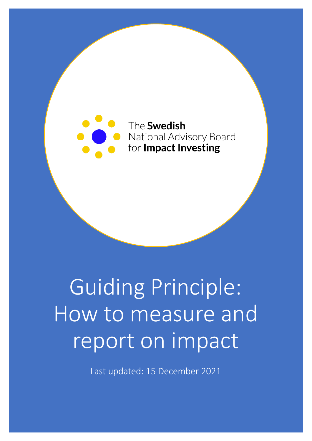

# Guiding Principle: How to measure and report on impact

Last updated: 15 December 2021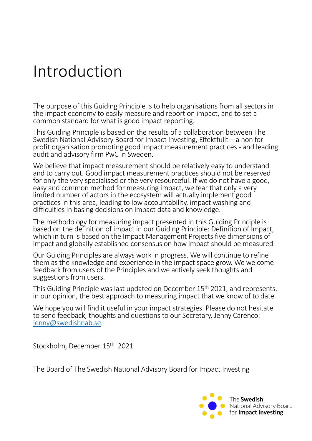### Introduction

The purpose of this Guiding Principle is to help organisations from all sectors in the impact economy to easily measure and report on impact, and to set a common standard for what is good impact reporting.

This Guiding Principle is based on the results of a collaboration between The Swedish National Advisory Board for Impact Investing, Effektfullt – a non for profit organisation promoting good impact measurement practices - and leading audit and advisory firm PwC in Sweden.

We believe that impact measurement should be relatively easy to understand and to carry out. Good impact measurement practices should not be reserved for only the very specialised or the very resourceful. If we do not have a good, easy and common method for measuring impact, we fear that only a very limited number of actors in the ecosystem will actually implement good practices in this area, leading to low accountability, impact washing and difficulties in basing decisions on impact data and knowledge.

The methodology for measuring impact presented in this Guiding Principle is based on the definition of impact in our Guiding Principle: Definition of Impact, which in turn is based on the Impact Management Projects five dimensions of impact and globally established consensus on how impact should be measured.

Our Guiding Principles are always work in progress. We will continue to refine them as the knowledge and experience in the impact space grow. We welcome feedback from users of the Principles and we actively seek thoughts and suggestions from users.

This Guiding Principle was last updated on December 15th 2021, and represents, in our opinion, the best approach to measuring impact that we know of to date.

We hope you will find it useful in your impact strategies. Please do not hesitate to send feedback, thoughts and questions to our Secretary, Jenny Carenco: [jenny@swedishnab](mailto:jenny@swedishnab.se).se.

Stockholm, December 15th 2021

The Board of The Swedish National Advisory Board for Impact Investing

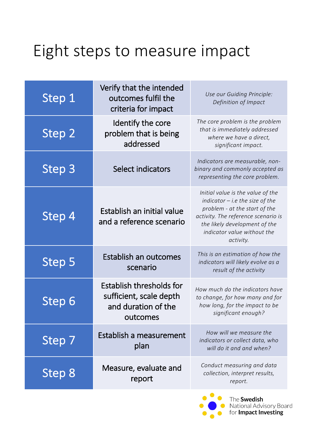### Eight steps to measure impact

| Step 1        | Verify that the intended<br>outcomes fulfil the<br>criteria for impact                                     | Use our Guiding Principle:<br>Definition of Impact                                                                                                                                                                          |
|---------------|------------------------------------------------------------------------------------------------------------|-----------------------------------------------------------------------------------------------------------------------------------------------------------------------------------------------------------------------------|
| <b>Step 2</b> | Identify the core<br>problem that is being<br>addressed                                                    | The core problem is the problem<br>that is immediately addressed<br>where we have a direct,<br>significant impact.                                                                                                          |
| Step 3        | Select indicators                                                                                          | Indicators are measurable, non-<br>binary and commonly accepted as<br>representing the core problem.                                                                                                                        |
| Step 4        | Establish an initial value<br>and a reference scenario                                                     | Initial value is the value of the<br>indicator $-$ i.e the size of the<br>problem - at the start of the<br>activity. The reference scenario is<br>the likely development of the<br>indicator value without the<br>activity. |
| Step 5        | Establish an outcomes<br>scenario                                                                          | This is an estimation of how the<br>indicators will likely evolve as a<br>result of the activity                                                                                                                            |
| <b>Step</b>   | <b>Establish thresholds for</b><br>sufficient, scale depth<br>and duration of the<br>outcomes              | How much do the indicators have<br>to change, for how many and for<br>how long, for the impact to be<br>significant enough?                                                                                                 |
| Step 7        | Establish a measurement<br>plan                                                                            | How will we measure the<br>indicators or collect data, who<br>will do it and and when?                                                                                                                                      |
| Step 8        | Conduct measuring and data<br>Measure, evaluate and<br>collection, interpret results,<br>report<br>report. |                                                                                                                                                                                                                             |

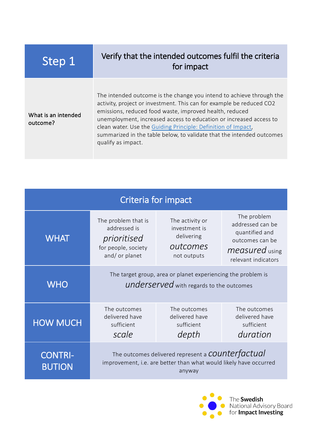### Step 1 Verify that the intended outcomes fulfil the criteria for impact

What is an intended outcome?

The intended outcome is the change you intend to achieve through the activity, project or investment. This can for example be reduced CO2 emissions, reduced food waste, improved health, reduced unemployment, increased access to education or increased access to clean water. Use [the Guiding Principle: Definition of Imp](https://www.swedishnab.se/_files/ugd/ecbbca_799daf7480b64a058d923547ccffa224.pdf)act, summarized in the table below, to validate that the intended outcomes qualify as impact.

| Criteria for impact             |                                                                                                                                                                                                                                                                                                  |  |                                                          |  |
|---------------------------------|--------------------------------------------------------------------------------------------------------------------------------------------------------------------------------------------------------------------------------------------------------------------------------------------------|--|----------------------------------------------------------|--|
| <b>WHAT</b>                     | The problem<br>The problem that is<br>The activity or<br>addressed can be<br>addressed is<br>investment is<br>quantified and<br>delivering<br>prioritised<br>outcomes can be<br>outcomes<br>for people, society<br><i>measured</i> using<br>and/ or planet<br>not outputs<br>relevant indicators |  |                                                          |  |
| <b>WHO</b>                      | The target group, area or planet experiencing the problem is<br>underserved with regards to the outcomes                                                                                                                                                                                         |  |                                                          |  |
| <b>HOW MUCH</b>                 | The outcomes<br>The outcomes<br>delivered have<br>delivered have<br>sufficient<br>sufficient<br>scale<br>depth                                                                                                                                                                                   |  | The outcomes<br>delivered have<br>sufficient<br>duration |  |
| <b>CONTRI-</b><br><b>BUTION</b> | The outcomes delivered represent a <b>COUNTET</b> actual<br>improvement, i.e. are better than what would likely have occurred<br>anyway                                                                                                                                                          |  |                                                          |  |

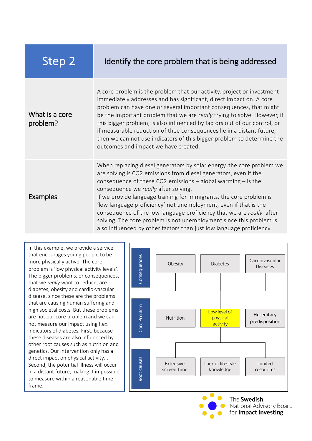| Step 2                     | Identify the core problem that is being addressed                                                                                                                                                                                                                                                                                                                                                                                                                                                                                                                                                                       |
|----------------------------|-------------------------------------------------------------------------------------------------------------------------------------------------------------------------------------------------------------------------------------------------------------------------------------------------------------------------------------------------------------------------------------------------------------------------------------------------------------------------------------------------------------------------------------------------------------------------------------------------------------------------|
| What is a core<br>problem? | A core problem is the problem that our activity, project or investment<br>immediately addresses and has significant, direct impact on. A core<br>problem can have one or several important consequences, that might<br>be the important problem that we are really trying to solve. However, if<br>this bigger problem, is also influenced by factors out of our control, or<br>if measurable reduction of thee consequences lie in a distant future,<br>then we can not use indicators of this bigger problem to determine the<br>outcomes and impact we have created.                                                 |
| <b>Examples</b>            | When replacing diesel generators by solar energy, the core problem we<br>are solving is CO2 emissions from diesel generators, even if the<br>consequence of these CO2 emissions $-$ global warming $-$ is the<br>consequence we really after solving.<br>If we provide language training for immigrants, the core problem is<br>'low language proficiency' not unemployment, even if that is the<br>consequence of the low language proficiency that we are really after<br>solving. The core problem is not unemployment since this problem is<br>also influenced by other factors than just low language proficiency. |

In this example, we provide a service that encourages young people to be more physically active. The core problem is 'low physical activity levels'. The bigger problems, or consequences, that we *really* want to reduce, are diabetes, obesity and cardio-vascular disease, since these are the problems that are causing human suffering and high societal costs. But these problems are not our core problem and we can not measure our impact using f.ex. indicators of diabetes. First, because these diseases are also influenced by other root causes such as nutrition and genetics. Our intervention only has a direct impact on physical activity. . Second, the potential illness will occur in a distant future, making it impossible to measure within a reasonable time frame.





The Swedish National Advisory Board for Impact Investing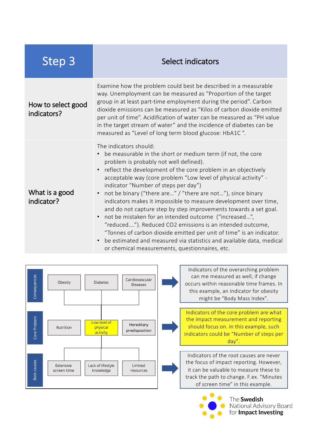| <b>Step 3</b>                     | Select indicators                                                                                                                                                                                                                                                                                                                                                                                                                                                                                                                                                                                                                                                                                                                                                                                                                                                    |  |  |
|-----------------------------------|----------------------------------------------------------------------------------------------------------------------------------------------------------------------------------------------------------------------------------------------------------------------------------------------------------------------------------------------------------------------------------------------------------------------------------------------------------------------------------------------------------------------------------------------------------------------------------------------------------------------------------------------------------------------------------------------------------------------------------------------------------------------------------------------------------------------------------------------------------------------|--|--|
| How to select good<br>indicators? | Examine how the problem could best be described in a measurable<br>way. Unemployment can be measured as "Proportion of the target<br>group in at least part-time employment during the period". Carbon<br>dioxide emissions can be measured as "Kilos of carbon dioxide emitted<br>per unit of time". Acidification of water can be measured as "PH value<br>in the target stream of water" and the incidence of diabetes can be<br>measured as "Level of long term blood glucose: HbA1C".                                                                                                                                                                                                                                                                                                                                                                           |  |  |
| What is a good<br>indicator?      | The indicators should:<br>be measurable in the short or medium term (if not, the core<br>problem is probably not well defined).<br>reflect the development of the core problem in an objectively<br>acceptable way (core problem "Low level of physical activity" -<br>indicator "Number of steps per day")<br>not be binary ("there are" / "there are not"), since binary<br>$\bullet$<br>indicators makes it impossible to measure development over time,<br>and do not capture step by step improvements towards a set goal.<br>not be mistaken for an intended outcome ("increased",<br>"reduced"). Reduced CO2 emissions is an intended outcome,<br>"Tonnes of carbon dioxide emitted per unit of time" is an indicator.<br>be estimated and measured via statistics and available data, medical<br>$\bullet$<br>or chemical measurements, questionnaires, etc. |  |  |



Indicators of the overarching problem can me measured as well, if change occurs within reasonable time frames. In this example, an indicator for obesity might be "Body Mass Index".

Indicators of the core problem are what the impact measurement and reporting should focus on. In this example, such indicators could be "Number of steps per day".

Indicators of the root causes are never the focus of impact reporting. However, it can be valuable to measure these to track the path to change. F.ex. "Minutes of screen time" in this example.

> The Swedish National Advisory Board for Impact Investing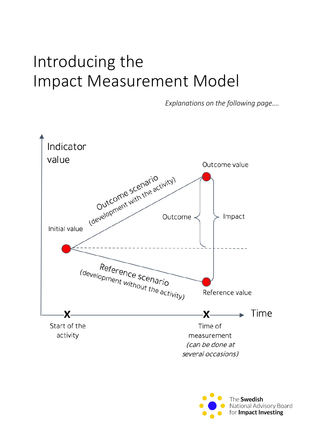### Introducing the Impact Measurement Model

*Explanations on the following page….*



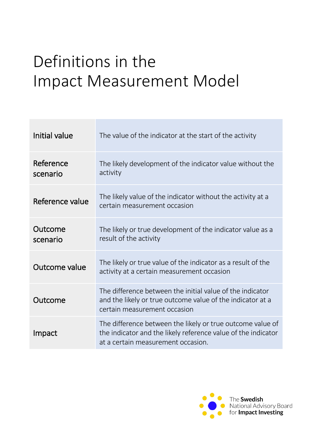## Definitions in the Impact Measurement Model

| Initial value         | The value of the indicator at the start of the activity                                                                                                           |
|-----------------------|-------------------------------------------------------------------------------------------------------------------------------------------------------------------|
| Reference<br>scenario | The likely development of the indicator value without the<br>activity                                                                                             |
| Reference value       | The likely value of the indicator without the activity at a<br>certain measurement occasion                                                                       |
| Outcome<br>scenario   | The likely or true development of the indicator value as a<br>result of the activity                                                                              |
| Outcome value         | The likely or true value of the indicator as a result of the<br>activity at a certain measurement occasion                                                        |
| Outcome               | The difference between the initial value of the indicator<br>and the likely or true outcome value of the indicator at a<br>certain measurement occasion           |
| Impact                | The difference between the likely or true outcome value of<br>the indicator and the likely reference value of the indicator<br>at a certain measurement occasion. |

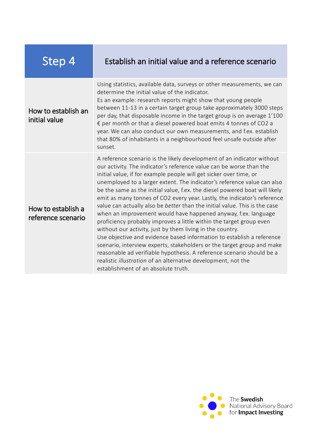| <u>Step 4</u>                            | Establish an initial value and a reference scenario                                                                                                                                                                                                                                                                                                                                                                                                                                                                                                                                                                                                                                                                                                                                                                                                                                                                                                                                                                                                                               |
|------------------------------------------|-----------------------------------------------------------------------------------------------------------------------------------------------------------------------------------------------------------------------------------------------------------------------------------------------------------------------------------------------------------------------------------------------------------------------------------------------------------------------------------------------------------------------------------------------------------------------------------------------------------------------------------------------------------------------------------------------------------------------------------------------------------------------------------------------------------------------------------------------------------------------------------------------------------------------------------------------------------------------------------------------------------------------------------------------------------------------------------|
| How to establish an<br>initial value     | Using statistics, available data, surveys or other measurements, we can<br>determine the initial value of the indicator.<br>Es an example: research reports might show that young people<br>between 11-13 in a certain target group take approximately 3000 steps<br>per day, that disposable income in the target group is on average 1'100<br>€ per month or that a diesel powered boat emits 4 tonnes of CO2 a<br>year. We can also conduct our own measurements, and f.ex. establish<br>that 80% of inhabitants in a neighbourhood feel unsafe outside after<br>sunset.                                                                                                                                                                                                                                                                                                                                                                                                                                                                                                       |
| How to establish a<br>reference scenario | A reference scenario is the likely development of an indicator without<br>our activity. The indicator's reference value can be worse than the<br>initial value, if for example people will get sicker over time, or<br>unemployed to a larger extent. The indicator's reference value can also<br>be the same as the initial value, f.ex. the diesel powered boat will likely<br>emit as many tonnes of CO2 every year. Lastly, the indicator's reference<br>value can actually also be better than the initial value. This is the case<br>when an improvement would have happened anyway, f.ex. language<br>proficiency probably improves a little within the target group even<br>without our activity, just by them living in the country.<br>Use objective and evidence based information to establish a reference<br>scenario, interview experts, stakeholders or the target group and make<br>reasonable ad verifiable hypothesis. A reference scenario should be a<br>realistic illustration of an alternative development, not the<br>establishment of an absolute truth. |

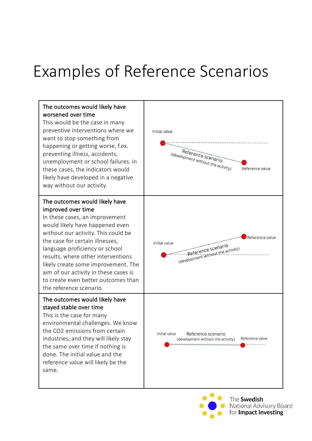### Examples of Reference Scenarios

#### The outcomes would likely have worsened over time This would be the case in many

preventive interventions where we want to stop something from happening or getting worse, f.ex. preventing illness, accidents, unemployment or school failures. In these cases, the indicators would likely have developed in a negative way without our activity.

#### The outcomes would likely have improved over time

In these cases, an improvement would likely have happened even without our activity. This could be the case for certain illnesses, language proficiency or school results, where other interventions likely create some improvement. The aim of our activity in these cases is to create even better outcomes than the reference scenario.

#### The outcomes would likely have stayed stable over time

This is the case for many environmental challenges. We know the CO2 emissions from certain industries, and they will likely stay the same over time if nothing is done. The initial value and the reference value will likely be the same.



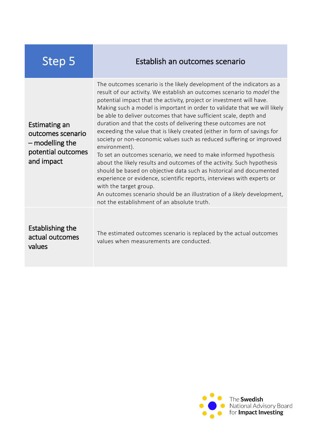| <b>Step 5</b>                                                                               | Establish an outcomes scenario                                                                                                                                                                                                                                                                                                                                                                                                                                                                                                                                                                                                                                                                                                                                                                                                                                                                                                                                                                                                                                                 |
|---------------------------------------------------------------------------------------------|--------------------------------------------------------------------------------------------------------------------------------------------------------------------------------------------------------------------------------------------------------------------------------------------------------------------------------------------------------------------------------------------------------------------------------------------------------------------------------------------------------------------------------------------------------------------------------------------------------------------------------------------------------------------------------------------------------------------------------------------------------------------------------------------------------------------------------------------------------------------------------------------------------------------------------------------------------------------------------------------------------------------------------------------------------------------------------|
| Estimating an<br>outcomes scenario<br>$-$ modelling the<br>potential outcomes<br>and impact | The outcomes scenario is the likely development of the indicators as a<br>result of our activity. We establish an outcomes scenario to <i>model</i> the<br>potential impact that the activity, project or investment will have.<br>Making such a model is important in order to validate that we will likely<br>be able to deliver outcomes that have sufficient scale, depth and<br>duration and that the costs of delivering these outcomes are not<br>exceeding the value that is likely created (either in form of savings for<br>society or non-economic values such as reduced suffering or improved<br>environment).<br>To set an outcomes scenario, we need to make informed hypothesis<br>about the likely results and outcomes of the activity. Such hypothesis<br>should be based on objective data such as historical and documented<br>experience or evidence, scientific reports, interviews with experts or<br>with the target group.<br>An outcomes scenario should be an illustration of a likely development,<br>not the establishment of an absolute truth. |
| <b>Establishing the</b><br>actual outcomes<br>values                                        | The estimated outcomes scenario is replaced by the actual outcomes<br>values when measurements are conducted.                                                                                                                                                                                                                                                                                                                                                                                                                                                                                                                                                                                                                                                                                                                                                                                                                                                                                                                                                                  |

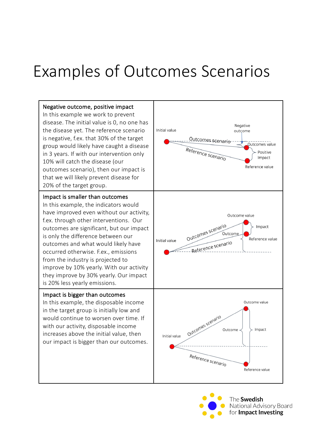### Examples of Outcomes Scenarios



The **Swedish** National Advisory Board for Impact Investing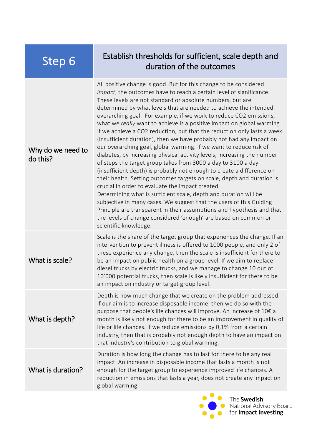### Step 6 Establish thresholds for sufficient, scale depth and<br>duration of the outcomes duration of the outcomes

| Why do we need to<br>do this? | All positive change is good. But for this change to be considered<br>impact, the outcomes have to reach a certain level of significance.<br>These levels are not standard or absolute numbers, but are<br>determined by what levels that are needed to achieve the intended<br>overarching goal. For example, if we work to reduce CO2 emissions,<br>what we really want to achieve is a positive impact on global warming.<br>If we achieve a CO2 reduction, but that the reduction only lasts a week<br>(insufficient duration), then we have probably not had any impact on<br>our overarching goal, global warming. If we want to reduce risk of<br>diabetes, by increasing physical activity levels, increasing the number<br>of steps the target group takes from 3000 a day to 3100 a day<br>(insufficient depth) is probably not enough to create a difference on<br>their health. Setting outcomes targets on scale, depth and duration is<br>crucial in order to evaluate the impact created.<br>Determining what is sufficient scale, depth and duration will be<br>subjective in many cases. We suggest that the users of this Guiding<br>Principle are transparent in their assumptions and hypothesis and that<br>the levels of change considered 'enough' are based on common or<br>scientific knowledge. |
|-------------------------------|--------------------------------------------------------------------------------------------------------------------------------------------------------------------------------------------------------------------------------------------------------------------------------------------------------------------------------------------------------------------------------------------------------------------------------------------------------------------------------------------------------------------------------------------------------------------------------------------------------------------------------------------------------------------------------------------------------------------------------------------------------------------------------------------------------------------------------------------------------------------------------------------------------------------------------------------------------------------------------------------------------------------------------------------------------------------------------------------------------------------------------------------------------------------------------------------------------------------------------------------------------------------------------------------------------------------------|
| What is scale?                | Scale is the share of the target group that experiences the change. If an<br>intervention to prevent illness is offered to 1000 people, and only 2 of<br>these experience any change, then the scale is insufficient for there to<br>be an impact on public health on a group level. If we aim to replace<br>diesel trucks by electric trucks, and we manage to change 10 out of<br>10'000 potential trucks, then scale is likely insufficient for there to be<br>an impact on industry or target group level.                                                                                                                                                                                                                                                                                                                                                                                                                                                                                                                                                                                                                                                                                                                                                                                                           |
| What is depth?                | Depth is how much change that we create on the problem addressed.<br>If our aim is to increase disposable income, then we do so with the<br>purpose that people's life chances will improve. An increase of 10€ a<br>month is likely not enough for there to be an improvement in quality of<br>life or life chances. If we reduce emissions by 0,1% from a certain<br>industry, then that is probably not enough depth to have an impact on<br>that industry's contribution to global warming.                                                                                                                                                                                                                                                                                                                                                                                                                                                                                                                                                                                                                                                                                                                                                                                                                          |
| What is duration?             | Duration is how long the change has to last for there to be any real<br>impact. An increase in disposable income that lasts a month is not<br>enough for the target group to experience improved life chances. A<br>reduction in emissions that lasts a year, does not create any impact on<br>global warming.                                                                                                                                                                                                                                                                                                                                                                                                                                                                                                                                                                                                                                                                                                                                                                                                                                                                                                                                                                                                           |



Mational Advisory Board<br>for **Impact Investing**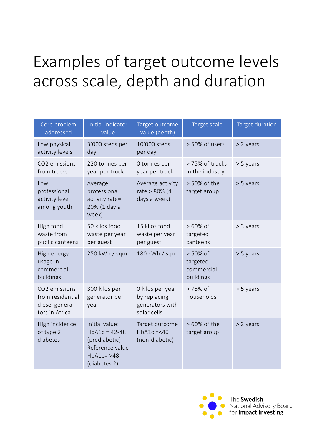## Examples of target outcome levels across scale, depth and duration

| Core problem<br>addressed                                             | Initial indicator<br>value                                                                           | Target outcome<br>value (depth)                                    | Target scale                                    | Target duration |
|-----------------------------------------------------------------------|------------------------------------------------------------------------------------------------------|--------------------------------------------------------------------|-------------------------------------------------|-----------------|
| Low physical<br>activity levels                                       | 3'000 steps per<br>day                                                                               | 10'000 steps<br>per day                                            | > 50% of users                                  | > 2 years       |
| CO2 emissions<br>from trucks                                          | 220 tonnes per<br>year per truck                                                                     | 0 tonnes per<br>year per truck                                     | > 75% of trucks<br>in the industry              | > 5 years       |
| Low<br>professional<br>activity level<br>among youth                  | Average<br>professional<br>activity rate=<br>20% (1 day a<br>week)                                   | Average activity<br>rate > 80% (4<br>days a week)                  | > 50% of the<br>target group                    | > 5 years       |
| High food<br>waste from<br>public canteens                            | 50 kilos food<br>waste per year<br>per guest                                                         | 15 kilos food<br>waste per year<br>per guest                       | $>60\%$ of<br>targeted<br>canteens              | > 3 years       |
| High energy<br>usage in<br>commercial<br>buildings                    | 250 kWh / sqm                                                                                        | 180 kWh / sqm                                                      | > 50% of<br>targeted<br>commercial<br>buildings | > 5 years       |
| CO2 emissions<br>from residential<br>diesel genera-<br>tors in Africa | 300 kilos per<br>generator per<br>year                                                               | 0 kilos per year<br>by replacing<br>generators with<br>solar cells | > 75% of<br>households                          | > 5 years       |
| High incidence<br>of type 2<br>diabetes                               | Initial value:<br>$HbA1c = 42-48$<br>(prediabetic)<br>Reference value<br>$HbA1c=>48$<br>(diabetes 2) | Target outcome<br>$HbA1c = < 40$<br>(non-diabetic)                 | > 60% of the<br>target group                    | $> 2$ years     |

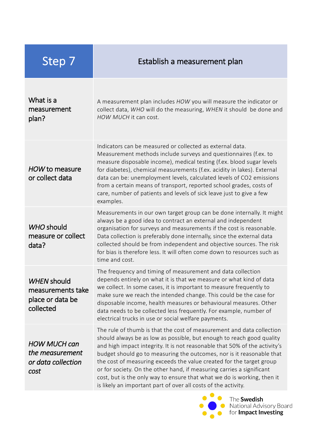| Step 7                                                                   | Establish a measurement plan                                                                                                                                                                                                                                                                                                                                                                                                                                                                                                                                                                        |
|--------------------------------------------------------------------------|-----------------------------------------------------------------------------------------------------------------------------------------------------------------------------------------------------------------------------------------------------------------------------------------------------------------------------------------------------------------------------------------------------------------------------------------------------------------------------------------------------------------------------------------------------------------------------------------------------|
| What is a<br>measurement<br>plan?                                        | A measurement plan includes HOW you will measure the indicator or<br>collect data, WHO will do the measuring, WHEN it should be done and<br>HOW MUCH it can cost.                                                                                                                                                                                                                                                                                                                                                                                                                                   |
| HOW to measure<br>or collect data                                        | Indicators can be measured or collected as external data.<br>Measurement methods include surveys and questionnaires (f.ex. to<br>measure disposable income), medical testing (f.ex. blood sugar levels<br>for diabetes), chemical measurements (f.ex. acidity in lakes). External<br>data can be: unemployment levels, calculated levels of CO2 emissions<br>from a certain means of transport, reported school grades, costs of<br>care, number of patients and levels of sick leave just to give a few<br>examples.                                                                               |
| WHO should<br>measure or collect<br>data?                                | Measurements in our own target group can be done internally. It might<br>always be a good idea to contract an external and independent<br>organisation for surveys and measurements if the cost is reasonable.<br>Data collection is preferably done internally, since the external data<br>collected should be from independent and objective sources. The risk<br>for bias is therefore less. It will often come down to resources such as<br>time and cost.                                                                                                                                      |
| <b>WHEN should</b><br>measurements take<br>place or data be<br>collected | The frequency and timing of measurement and data collection<br>depends entirely on what it is that we measure or what kind of data<br>we collect. In some cases, it is important to measure frequently to<br>make sure we reach the intended change. This could be the case for<br>disposable income, health measures or behavioural measures. Other<br>data needs to be collected less frequently. For example, number of<br>electrical trucks in use or social welfare payments.                                                                                                                  |
| <b>HOW MUCH can</b><br>the measurement<br>or data collection<br>cost     | The rule of thumb is that the cost of measurement and data collection<br>should always be as low as possible, but enough to reach good quality<br>and high impact integrity. It is not reasonable that 50% of the activity's<br>budget should go to measuring the outcomes, nor is it reasonable that<br>the cost of measuring exceeds the value created for the target group<br>or for society. On the other hand, if measuring carries a significant<br>cost, but is the only way to ensure that what we do is working, then it<br>is likely an important part of over all costs of the activity. |

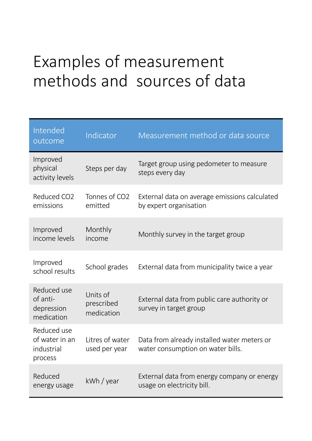## Examples of measurement methods and sources of data

| Intended<br>outcome                                    | Indicator                            | Measurement method or data source                                                |
|--------------------------------------------------------|--------------------------------------|----------------------------------------------------------------------------------|
| Improved<br>physical<br>activity levels                | Steps per day                        | Target group using pedometer to measure<br>steps every day                       |
| Reduced CO2<br>emissions                               | Tonnes of CO2<br>emitted             | External data on average emissions calculated<br>by expert organisation          |
| Improved<br>income levels                              | Monthly<br>income                    | Monthly survey in the target group                                               |
| Improved<br>school results                             | School grades                        | External data from municipality twice a year                                     |
| Reduced use<br>of anti-<br>depression<br>medication    | Units of<br>prescribed<br>medication | External data from public care authority or<br>survey in target group            |
| Reduced use<br>of water in an<br>industrial<br>process | Litres of water<br>used per year     | Data from already installed water meters or<br>water consumption on water bills. |
| Reduced<br>energy usage                                | kWh / year                           | External data from energy company or energy<br>usage on electricity bill.        |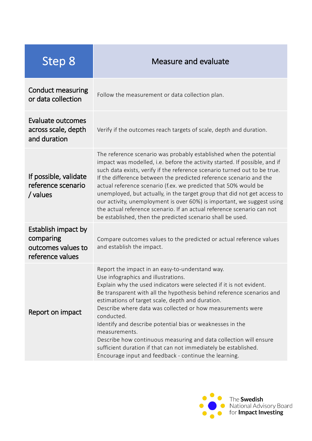| Step 8                                                                     | Measure and evaluate                                                                                                                                                                                                                                                                                                                                                                                                                                                                                                                                                                                                                                                 |
|----------------------------------------------------------------------------|----------------------------------------------------------------------------------------------------------------------------------------------------------------------------------------------------------------------------------------------------------------------------------------------------------------------------------------------------------------------------------------------------------------------------------------------------------------------------------------------------------------------------------------------------------------------------------------------------------------------------------------------------------------------|
| Conduct measuring<br>or data collection                                    | Follow the measurement or data collection plan.                                                                                                                                                                                                                                                                                                                                                                                                                                                                                                                                                                                                                      |
| Evaluate outcomes<br>across scale, depth<br>and duration                   | Verify if the outcomes reach targets of scale, depth and duration.                                                                                                                                                                                                                                                                                                                                                                                                                                                                                                                                                                                                   |
| If possible, validate<br>reference scenario<br>/ values                    | The reference scenario was probably established when the potential<br>impact was modelled, i.e. before the activity started. If possible, and if<br>such data exists, verify if the reference scenario turned out to be true.<br>If the difference between the predicted reference scenario and the<br>actual reference scenario (f.ex. we predicted that 50% would be<br>unemployed, but actually, in the target group that did not get access to<br>our activity, unemployment is over 60%) is important, we suggest using<br>the actual reference scenario. If an actual reference scenario can not<br>be established, then the predicted scenario shall be used. |
| Establish impact by<br>comparing<br>outcomes values to<br>reference values | Compare outcomes values to the predicted or actual reference values<br>and establish the impact.                                                                                                                                                                                                                                                                                                                                                                                                                                                                                                                                                                     |
| Report on impact                                                           | Report the impact in an easy-to-understand way.<br>Use infographics and illustrations.<br>Explain why the used indicators were selected if it is not evident.<br>Be transparent with all the hypothesis behind reference scenarios and<br>estimations of target scale, depth and duration.<br>Describe where data was collected or how measurements were<br>conducted.<br>Identify and describe potential bias or weaknesses in the<br>measurements.<br>Describe how continuous measuring and data collection will ensure<br>sufficient duration if that can not immediately be established.<br>Encourage input and feedback - continue the learning.                |